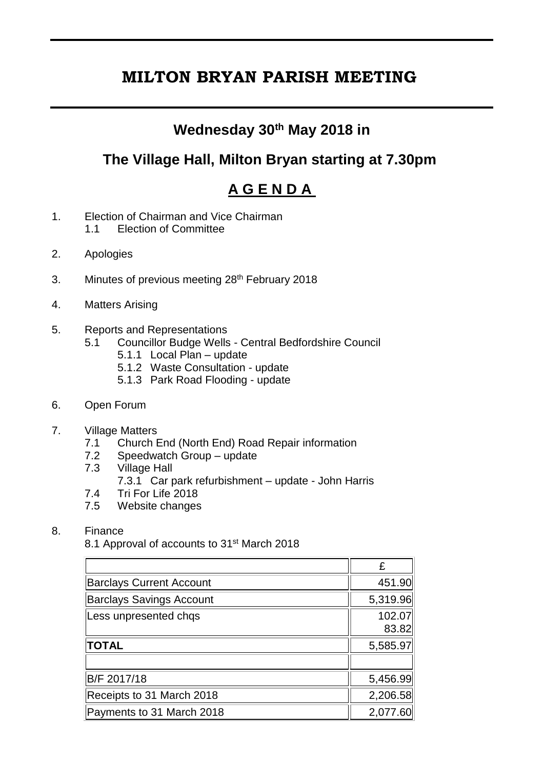# **MILTON BRYAN PARISH MEETING**

## **Wednesday 30th May 2018 in**

## **The Village Hall, Milton Bryan starting at 7.30pm**

# **A G E N D A**

- 1. Election of Chairman and Vice Chairman 1.1 Election of Committee
- 2. Apologies
- 3. Minutes of previous meeting 28<sup>th</sup> February 2018
- 4. Matters Arising
- 5. Reports and Representations
	- 5.1 Councillor Budge Wells Central Bedfordshire Council
		- 5.1.1 Local Plan update
		- 5.1.2 Waste Consultation update
		- 5.1.3 Park Road Flooding update
- 6. Open Forum
- 7. Village Matters
	- 7.1 Church End (North End) Road Repair information<br>7.2 Speedwatch Group update
	- Speedwatch Group update
	- 7.3 Village Hall
		- 7.3.1 Car park refurbishment update John Harris
	- 7.4 Tri For Life 2018
	- 7.5 Website changes
- 8. Finance

8.1 Approval of accounts to 31st March 2018

|                                 | £               |
|---------------------------------|-----------------|
| <b>Barclays Current Account</b> | 451.90          |
| <b>Barclays Savings Account</b> | 5,319.96        |
| Less unpresented chqs           | 102.07<br>83.82 |
| <b>TOTAL</b>                    | 5,585.97        |
|                                 |                 |
| B/F 2017/18                     | 5,456.99        |
| Receipts to 31 March 2018       | 2,206.58        |
| Payments to 31 March 2018       | 2,077.60        |